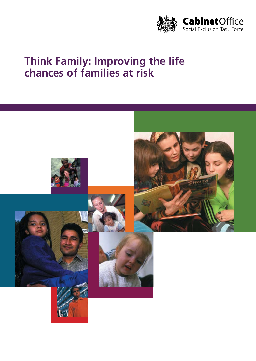

# **Think Family: Improving the life chances of families at risk**

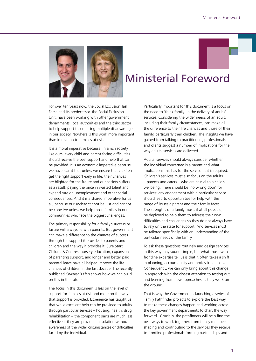

# Ministerial Foreword

For over ten years now, the Social Exclusion Task Force and its predecessor, the Social Exclusion Unit, have been working with other government departments, local authorities and the third sector to help support those facing multiple disadvantages in our society. Nowhere is this work more important than in relation to families at risk.

It is a moral imperative because, in a rich society like ours, every child and parent facing difficulties should receive the best support and help that can be provided. It is an economic imperative because we have learnt that unless we ensure that children get the right support early in life, their chances are blighted for the future and our society suffers as a result, paying the price in wasted talent and expenditure on unemployment and other social consequences. And it is a shared imperative for us all, because our society cannot be just and cannot be cohesive unless we help those families in our communities who face the biggest challenges.

The primary responsibility for a family's success or failure will always lie with parents. But government can make a difference to the chances of success through the support it provides to parents and children and the way it provides it. Sure Start Children's Centres, nursery education, expansion of parenting support, and longer and better paid parental leave have all helped improve the life chances of children in the last decade. The recently published *Children's Plan* shows how we can build on this in the future.

The focus in this document is less on the level of support for families at risk and more on the way that support is provided. Experience has taught us that while excellent help can be provided to adults through particular services – housing, health, drug rehabilitation – the component parts are much less effective if they are provided in isolation without awareness of the wider circumstances or difficulties faced by the individual.

Particularly important for this document is a focus on the need to 'think family' in the delivery of adults' services. Considering the wider needs of an adult, including their family circumstances, can make all the difference to their life chances and those of their family, particularly their children. The insights we have gained from talking to practitioners, professionals and clients suggest a number of implications for the way adults' services are delivered.

Adults' services should always consider whether the individual concerned is a parent and what implications this has for the service that is required. Children's services must also focus on the adults – parents and carers – who are crucial to a child's wellbeing. There should be 'no wrong door' for services: any engagement with a particular service should lead to opportunities for help with the range of issues a parent and their family faces. The strengths of a family must, if at all possible, be deployed to help them to address their own difficulties and challenges so they do not always have to rely on the state for support. And services must be tailored specifically with an understanding of the particular needs of the family.

To ask these questions routinely and design services in this way may sound simple, but what those with frontline expertise tell us is that it often takes a shift in planning, accountability and professional roles. Consequently, we can only bring about this change in approach with the closest attention to testing out and learning from new approaches as they work on the ground.

That is why the Government is launching a series of Family Pathfinder projects to explore the best way to make these changes happen and working across the key government departments to chart the way forward. Crucially, the pathfinders will help find the best ways to work together: from family members shaping and contributing to the services they receive, to frontline professionals forming partnerships and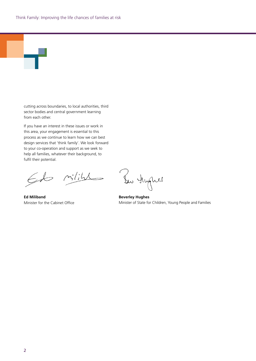

cutting across boundaries, to local authorities, third sector bodies and central government learning from each other.

If you have an interest in these issues or work in this area, your engagement is essential to this process as we continue to learn how we can best design services that 'think family'. We look forward to your co-operation and support as we seek to help all families, whatever their background, to fulfil their potential.

 $m_1'/\mu$  $\epsilon$ do

**Ed Miliband** Minister for the Cabinet Office

Bu Hygnes

**Beverley Hughes** Minister of State for Children, Young People and Families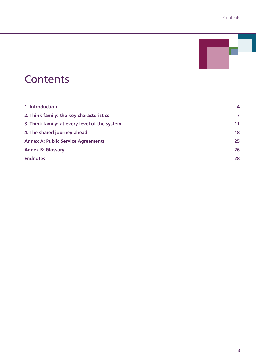

# **Contents**

| 1. Introduction                               | $\overline{4}$ |
|-----------------------------------------------|----------------|
| 2. Think family: the key characteristics      | 7              |
| 3. Think family: at every level of the system | 11             |
| 4. The shared journey ahead                   | 18             |
| <b>Annex A: Public Service Agreements</b>     | 25             |
| <b>Annex B: Glossary</b>                      | 26             |
| <b>Endnotes</b>                               | 28             |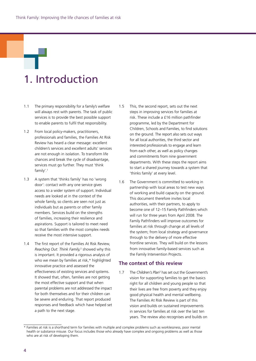# 1. Introduction

- 1.1 The primary responsibility for a family's welfare will always rest with parents. The task of public services is to provide the best possible support to enable parents to fulfil that responsibility.
- 1.2 From local policy-makers, practitioners, professionals and families, the Families At Risk Review has heard a clear message: excellent children's services and excellent adults' services are not enough in isolation. To transform life chances and break the cycle of disadvantage, services must go further. They must 'think family'.1
- 1.3 A system that 'thinks family' has no 'wrong door': contact with any one service gives access to a wider system of support. Individual needs are looked at in the context of the whole family, so clients are seen not just as individuals but as parents or other family members. Services build on the strengths of families, increasing their resilience and aspirations. Support is tailored to meet need so that families with the most complex needs receive the most intensive support.
- 1.4 The first report of the Families At Risk Review, *Reaching Out: Think Family,*<sup>2</sup> showed why this is important. It provided a rigorous analysis of who we mean by families at risk,\* highlighted innovative practice and assessed the effectiveness of existing services and systems. It showed that, often, families are not getting the most effective support and that when parental problems are not addressed the impact for both themselves and for their children can be severe and enduring. That report produced responses and feedback which have helped set a path to the next stage.
- 1.5 This, the second report, sets out the next steps in improving services for families at risk. These include a £16 million pathfinder programme, led by the Department for Children, Schools and Families, to find solutions on the ground. The report also sets out ways for all local authorities, the third sector and interested professionals to engage and learn from each other, as well as policy changes and commitments from nine government departments. With these steps the report aims to start a shared journey towards a system that 'thinks family' at every level.
- 1.6 The Government is committed to working in partnership with local areas to test new ways of working and build capacity on the ground. This document therefore invites local authorities, with their partners, to apply to become one of 12–15 Family Pathfinders which will run for three years from April 2008. The Family Pathfinders will improve outcomes for families at risk through change at all levels of the system; from local strategy and governance through to the delivery of more effective frontline services. They will build on the lessons from innovative family-based services such as the Family Intervention Projects.

#### **The context of this review**

1.7 The *Children's Plan*<sup>3</sup> has set out the Government's vision for supporting families to get the basics right for all children and young people so that their lives are free from poverty and they enjoy good physical health and mental wellbeing. The Families At Risk Review is part of this vision and builds on sustained improvements in services for families at risk over the last ten years. The review also recognises and builds on

<sup>\*</sup> Families at risk is a shorthand term for families with multiple and complex problems such as worklessness, poor mental health or substance misuse. Our focus includes those who already have complex and ongoing problems as well as those who are at risk of developing them.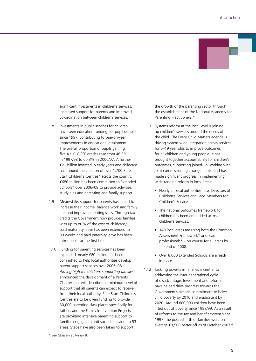

significant investments in children's services, increased support for parents and improved co-ordination between children's services.

- 1.8 Investments in public services for children have seen education funding per pupil double since 1997, contributing to year-on-year improvements in educational attainment. The overall proportion of pupils gaining five A\*–C GCSE grades rose from 46.3% in 1997/98 to 60.3% in 2006/07. A further £21 billion invested in early years and childcare has funded the creation of over 1,700 Sure Start Children's Centres\* across the country. £680 million has been committed to Extended Schools\* over 2006–08 to provide activities. study aids and parenting and family support.
- 1.9 Meanwhile, support for parents has aimed to increase their income, balance work and family life, and improve parenting skills. Through tax credits the Government now provides families with up to 80% of the cost of childcare.<sup>4</sup> paid maternity leave has been extended to 39 weeks and paid paternity leave has been introduced for the first time.
- 1.10 Funding for parenting services has been expanded: nearly £80 million has been committed to help local authorities develop parent support services over 2006–08. *Aiming high for children: supporting families*<sup>5</sup> announced the development of a Parents' Charter that will describe the minimum level of support that all parents can expect to receive from their local authority. Sure Start Children's Centres are to be given funding to provide 30,000 parenting class places specifically for fathers and the Family Intervention Projects are providing intensive parenting support to families engaged in anti-social behaviour in 53 areas. Steps have also been taken to support

the growth of the parenting sector through the establishment of the National Academy for Parenting Practitioners.\*

- 1.11 Systems reform at the local level is joining up children's services around the needs of the child. The Every Child Matters agenda is driving system-wide integration across services for 0–19 year olds to improve outcomes for all children and young people. It has brought together accountability for children's outcomes, supporting joined-up working with joint commissioning arrangements, and has made significant progress in implementing wide-ranging reform in local areas:
	- Nearly all local authorities have Directors of Children's Services and Lead Members for Children's Services.
	- The national outcomes framework for children has been embedded across children's services.
	- 140 local areas are using both the Common Assessment Framework\* and lead professionals\* – on course for all areas by the end of 2008.
	- • Over 8,000 Extended Schools are already in place.
- 1.12 Tackling poverty in families is central to addressing the inter-generational cycle of disadvantage. Investment and reform have helped drive progress towards the Government's historic commitment to halve child poverty by 2010 and eradicate it by 2020. Around 600,000 children have been lifted out of poverty since 1998/99. As a result of reforms to the tax and benefit system since 1997, the poorest fifth of families were on average £3,500 better off as of October 2007.6

<sup>\*</sup> See Glossary at Annex B.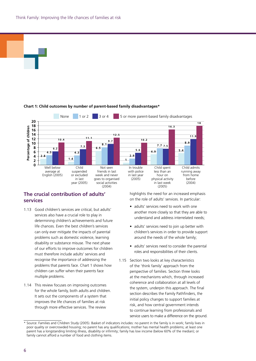

#### **Chart 1: Child outcomes by number of parent-based family disadvantages\***

None 1 or 2 3 or 4 5 or more parent-based family disadvantages

**1 0 .2**

**9 .7**

**1 2 .5**



**<sup>1</sup> <sup>0</sup> .4 <sup>1</sup> <sup>1</sup> .1**

## **The crucial contribution of adults' services**

- 1.13 Good children's services are critical, but adults' services also have a crucial role to play in determining children's achievements and future life chances. Even the best children's services can only ever mitigate the impacts of parental problems such as domestic violence, learning disability or substance misuse. The next phase of our efforts to improve outcomes for children must therefore include adults' services and recognise the importance of addressing the problems that parents face. Chart 1 shows how children can suffer when their parents face multiple problems.
- 1.14 This review focuses on improving outcomes for the whole family, both adults and children. It sets out the components of a system that through more effective services. The review

highlights the need for an increased emphasis on the role of adults' services. In particular:

**1 6 .3**

Child admits running away from home before (2004)

**8 .9**

**1 1 .9**

**1 8**

(2005)

- adults' services need to work with one another more closely so that they are able to understand and address interrelated needs;
- adults' services need to join up better with children's services in order to provide support around the needs of the whole family;
- adults' services need to consider the parental roles and responsibilities of their clients.
- 1.15 Section two looks at key characteristics of the 'think family' approach from the perspective of families. Section three looks at the mechanisms which, through increased coherence and collaboration at all levels of the system, underpin this approach. The final section describes the Family Pathfinders, the initial policy changes to support families at risk, and how central government intends to continue learning from professionals and service users to make a difference on the ground.

<sup>\*</sup> Source: Families and Children Study (2005). Basket of indicators includes: no parent in the family is in work; family lives in poor quality or overcrowded housing; no parent has any qualifications; mother has mental health problems; at least one parent has a longstanding limiting illness, disability or infirmity; family has low income (below 60% of the median); or family cannot afford a number of food and clothing items.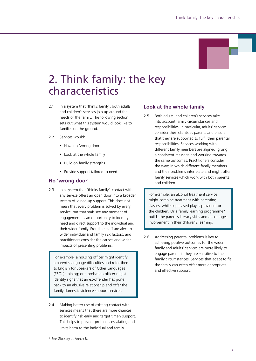

# 2. Think family: the key characteristics

- 2.1 In a system that 'thinks family', both adults' and children's services join up around the needs of the family. The following section sets out what this system would look like to families on the ground.
- 2.2 Services would:
	- Have no 'wrong door'
	- Look at the whole family
	- Build on family strengths
	- Provide support tailored to need

#### **No 'wrong door'**

2.3 In a system that 'thinks family', contact with any service offers an open door into a broader system of joined-up support. This does not mean that every problem is solved by every service, but that staff see any moment of engagement as an opportunity to identify need and direct support to the individual and their wider family. Frontline staff are alert to wider individual and family risk factors, and practitioners consider the causes and wider impacts of presenting problems.

For example, a housing officer might identify a parent's language difficulties and refer them to English for Speakers of Other Languages (ESOL) training; or a probation officer might identify signs that an ex-offender has gone back to an abusive relationship and offer the family domestic violence support services.

2.4 Making better use of existing contact with services means that there are more chances to identify risk early and target timely support. This helps to prevent problems escalating and limits harm to the individual and family.

#### **Look at the whole family**

2.5 Both adults' and children's services take into account family circumstances and responsibilities. In particular, adults' services consider their clients as parents and ensure that they are supported to fulfil their parental responsibilities. Services working with different family members are aligned, giving a consistent message and working towards the same outcomes. Practitioners consider the ways in which different family members and their problems interrelate and might offer family services which work with both parents and children.

For example, an alcohol treatment service might combine treatment with parenting classes, while supervised play is provided for the children. Or a family learning programme\* builds the parent's literacy skills and encourages involvement in their children's learning.

2.6 Addressing parental problems is key to achieving positive outcomes for the wider family and adults' services are more likely to engage parents if they are sensitive to their family circumstances. Services that adapt to fit the family can often offer more appropriate and effective support.

<sup>\*</sup> See Glossary at Annex B.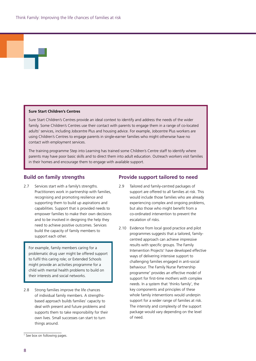#### **Sure Start Children's Centres**

Sure Start Children's Centres provide an ideal context to identify and address the needs of the wider family. Some Children's Centres use their contact with parents to engage them in a range of co-located adults' services, including Jobcentre Plus and housing advice. For example, Jobcentre Plus workers are using Children's Centres to engage parents in single-earner families who might otherwise have no contact with employment services.

The training programme Step into Learning has trained some Children's Centre staff to identify where parents may have poor basic skills and to direct them into adult education. Outreach workers visit families in their homes and encourage them to engage with available support.

#### **Build on family strengths**

2.7 Services start with a family's strengths. Practitioners work in partnership with families, recognising and promoting resilience and supporting them to build up aspirations and capabilities. Support that is provided needs to empower families to make their own decisions and to be involved in designing the help they need to achieve positive outcomes. Services build the capacity of family members to support each other.

For example, family members caring for a problematic drug user might be offered support to fulfil this caring role; or Extended Schools might provide an activities programme for a child with mental health problems to build on their interests and social networks.

2.8 Strong families improve the life chances of individual family members. A strengthsbased approach builds families' capacity to deal with present and future problems and supports them to take responsibility for their own lives. Small successes can start to turn things around.

#### **Provide support tailored to need**

- 2.9 Tailored and family-centred packages of support are offered to all families at risk. This would include those families who are already experiencing complex and ongoing problems, but also those who might benefit from a co-ordinated intervention to prevent the escalation of risks.
- 2.10 Evidence from local good practice and pilot programmes suggests that a tailored, familycentred approach can achieve impressive results with specific groups. The Family Intervention Projects† have developed effective ways of delivering intensive support to challenging families engaged in anti-social behaviour. The Family Nurse Partnership programme† provides an effective model of support for first-time mothers with complex needs. In a system that 'thinks family', the key components and principles of these whole family interventions would underpin support for a wider range of families at risk. The intensity and complexity of the support package would vary depending on the level of need.

<sup>†</sup> See box on following pages.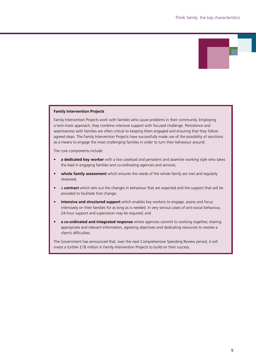#### **Family Intervention Projects**

Family Intervention Projects work with families who cause problems in their community. Employing a twin-track approach, they combine intensive support with focused challenge. Persistence and assertiveness with families are often critical to keeping them engaged and ensuring that they follow agreed steps. The Family Intervention Projects have successfully made use of the possibility of sanctions as a means to engage the most challenging families in order to turn their behaviour around.

The core components include:

- **a dedicated key worker** with a low caseload and persistent and assertive working style who takes the lead in engaging families and co-ordinating agencies and services;
- **whole family assessment** which ensures the needs of the whole family are met and regularly reviewed;
- a **contract** which sets out the changes in behaviour that are expected and the support that will be provided to facilitate that change;
- **intensive and structured support** which enables key workers to engage, assess and focus intensively on their families for as long as is needed. In very serious cases of anti-social behaviour, 24-hour support and supervision may be required; and
- **a co-ordinated and integrated response** where agencies commit to working together, sharing appropriate and relevant information, agreeing objectives and dedicating resources to resolve a client's difficulties.

The Government has announced that, over the next Comprehensive Spending Review period, it will invest a further £18 million in Family Intervention Projects to build on their success.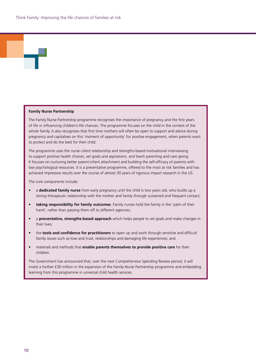#### **Family Nurse Partnership**

The Family Nurse Partnership programme recognises the importance of pregnancy and the first years of life in influencing children's life chances. The programme focuses on the child in the context of the whole family. It also recognises that first time mothers will often be open to support and advice during pregnancy and capitalises on this 'moment of opportunity' for positive engagement, when parents want to protect and do the best for their child.

The programme uses the nurse–client relationship and strengths-based motivational interviewing to support positive health choices, set goals and aspirations, and teach parenting and care giving. It focuses on nurturing better parent-infant attachment and building the self-efficacy of parents with low psychological resources. It is a preventative programme, offered to the most at risk families and has achieved impressive results over the course of almost 30 years of rigorous impact research in the US.

The core components include:

- a **dedicated family nurse** from early pregnancy until the child is two years old, who builds up a strong therapeutic relationship with the mother and family through sustained and frequent contact;
- • **taking responsibility for family outcomes**. Family nurses hold the family in the 'palm of their hand', rather than passing them off to different agencies;
- • a **preventative, strengths-based approach** which helps people to set goals and make changes in their lives;
- • the **tools and confidence for practitioners** to open up and work through sensitive and difficult family issues such as love and trust, relationships and damaging life experiences; and
- materials and methods that **enable parents themselves to provide positive care** for their children.

The Government has announced that, over the next Comprehensive Spending Review period, it will invest a further £30 million in the expansion of the Family Nurse Partnership programme and embedding learning from this programme in universal child health services.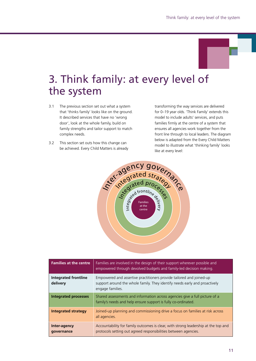

# 3. Think family: at every level of the system

- 3.1 The previous section set out what a system that 'thinks family' looks like on the ground. It described services that have no 'wrong door', look at the whole family, build on family strengths and tailor support to match complex needs.
- 3.2 This section set outs how this change can be achieved. Every Child Matters is already

transforming the way services are delivered for 0–19 year olds. 'Think Family' extends this model to include adults' services, and puts families firmly at the centre of a system that ensures all agencies work together from the front line through to local leaders. The diagram below is adapted from the Every Child Matters model to illustrate what 'thinking family' looks like at every level:



| <b>Families at the centre</b>           | Families are involved in the design of their support wherever possible and<br>empowered through devolved budgets and family-led decision making.                       |
|-----------------------------------------|------------------------------------------------------------------------------------------------------------------------------------------------------------------------|
| <b>Integrated frontline</b><br>delivery | Empowered and assertive practitioners provide tailored and joined-up<br>support around the whole family. They identify needs early and proactively<br>engage families. |
| <b>Integrated processes</b>             | Shared assessments and information across agencies give a full picture of a<br>family's needs and help ensure support is fully co-ordinated.                           |
| <b>Integrated strategy</b>              | Joined-up planning and commissioning drive a focus on families at risk across<br>all agencies.                                                                         |
| Inter-agency<br>qovernance              | Accountability for family outcomes is clear, with strong leadership at the top and<br>protocols setting out agreed responsibilities between agencies.                  |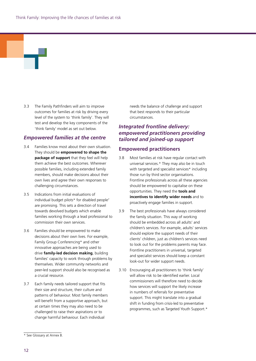3.3 The Family Pathfinders will aim to improve outcomes for families at risk by driving every level of the system to 'think family'. They will test and develop the key components of the 'think family' model as set out below.

#### *Empowered families at the centre*

- 3.4 Families know most about their own situation. They should be **empowered to shape the package of support** that they feel will help them achieve the best outcomes. Wherever possible families, including extended family members, should make decisions about their own lives and agree their own responses to challenging circumstances.
- 3.5 Indications from initial evaluations of individual budget pilots\* for disabled people<sup>7</sup> are promising. This sets a direction of travel towards devolved budgets which enable families working through a lead professional to commission their own services.
- 3.6 Families should be empowered to make decisions about their own lives. For example, Family Group Conferencing\* and other innovative approaches are being used to drive **family-led decision making**, building families' capacity to work through problems by themselves. Wider community networks and peer-led support should also be recognised as a crucial resource.
- 3.7 Each family needs tailored support that fits their size and structure, their culture and patterns of behaviour. Most family members will benefit from a supportive approach, but at certain times they may also need to be challenged to raise their aspirations or to change harmful behaviour. Each individual

needs the balance of challenge and support that best responds to their particular circumstances.

### *Integrated frontline delivery: empowered practitioners providing tailored and joined-up support*

#### **Empowered practitioners**

- 3.8 Most families at risk have regular contact with universal services.\* They may also be in touch with targeted and specialist services\* including those run by third sector organisations. Frontline professionals across all these agencies should be empowered to capitalise on these opportunities. They need the **tools and incentives to identify wider needs** and to proactively engage families in support.
- 3.9 The best professionals have always considered the family situation. This way of working should be embedded across all adults' and children's services. For example, adults' services should explore the support needs of their clients' children, just as children's services need to look out for the problems parents may face. Frontline practitioners in universal, targeted and specialist services should keep a constant look-out for wider support needs.
- 3.10 Encouraging all practitioners to 'think family' will allow risk to be identified earlier. Local commissioners will therefore need to decide how services will support the likely increase in numbers of referrals for preventative support. This might translate into a gradual shift in funding from crisis-led to preventative programmes, such as Targeted Youth Support.\*

<sup>\*</sup> See Glossary at Annex B.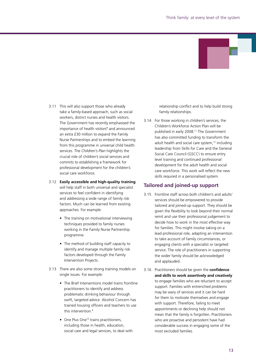

- 3.11 This will also support those who already take a family-based approach, such as social workers, district nurses and health visitors. The Government has recently emphasised the importance of health visitors<sup>8</sup> and announced an extra £30 million to expand the Family Nurse Partnerships and to embed the learning from this programme in universal child health services. The *Children's Plan* highlights the crucial role of children's social services and commits to establishing a framework for professional development for the children's social care workforce.
- 3.12 **Easily accessible and high-quality training** will help staff in both universal and specialist services to feel confident in identifying and addressing a wide range of family risk factors. Much can be learned from existing approaches. For example:
	- The training on motivational interviewing techniques provided to family nurses working in the Family Nurse Partnership programme.
	- The method of building staff capacity to identify and manage multiple family risk factors developed through the Family Intervention Projects.
- 3.13 There are also some strong training models on single issues. For example:
	- The Brief Interventions model trains frontline practitioners to identify and address problematic drinking behaviour through swift, targeted advice. Alcohol Concern has trained housing officers and teachers to use this intervention.<sup>9</sup>
	- One Plus One<sup>10</sup> trains practitioners, including those in health, education, social care and legal services, to deal with

relationship conflict and to help build strong family relationships.

3.14 For those working in children's services, the Children's Workforce Action Plan will be published in early 2008.11 The Government has also committed funding to transform the adult health and social care system,<sup>12</sup> including leadership from Skills for Care and the General Social Care Council (GSCC) to ensure entry level training and continued professional development for the adult health and social care workforce. This work will reflect the new skills required in a personalised system.

#### **Tailored and joined-up support**

- 3.15 Frontline staff across both children's and adults' services should be empowered to provide tailored and joined-up support. They should be given the flexibility to look beyond their normal remit and use their professional judgement to decide how to work in the most effective way for families. This might involve taking on a lead professional role, adapting an intervention to take account of family circumstances, or engaging clients with a specialist or targeted service. The role of practitioners in supporting the wider family should be acknowledged and applauded.
- 3.16 Practitioners should be given the **confidence and skills to work assertively and creatively** to engage families who are reluctant to accept support. Families with entrenched problems may be wary of services and it can be hard for them to motivate themselves and engage with support. Therefore, failing to meet appointments or declining help should not mean that the family is forgotten. Practitioners who are proactive and persistent have had considerable success in engaging some of the most excluded families.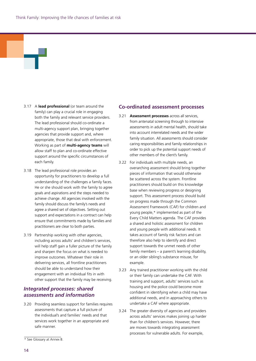- 3.17 A **lead professional** (or team around the family) can play a crucial role in engaging both the family and relevant service providers. The lead professional should co-ordinate a multi-agency support plan, bringing together agencies that provide support and, where appropriate, those that deal with enforcement. Working as part of **multi-agency teams** will allow staff to plan and co-ordinate effective support around the specific circumstances of each family.
- 3.18 The lead professional role provides an opportunity for practitioners to develop a full understanding of the challenges a family faces. He or she should work with the family to agree goals and aspirations and the steps needed to achieve change. All agencies involved with the family should discuss the family's needs and agree a shared set of objectives. Setting out support and expectations in a contract can help ensure that commitments made by families and practitioners are clear to both parties.
- 3.19 Partnership working with other agencies, including across adults' and children's services, will help staff gain a fuller picture of the family and sharpen the focus on what is needed to improve outcomes. Whatever their role in delivering services, all frontline practitioners should be able to understand how their engagement with an individual fits in with other support that the family may be receiving.

### *Integrated processes: shared assessments and information*

3.20 Providing seamless support for families requires assessments that capture a full picture of the individual's and families' needs and that services work together in an appropriate and safe manner.

#### **Co-ordinated assessment processes**

- 3.21 **Assessment processes** across all services, from antenatal screening through to intensive assessments in adult mental health, should take into account interrelated needs and the wider family situation. All assessments should consider caring responsibilities and family relationships in order to pick up the potential support needs of other members of the client's family.
- 3.22 For individuals with multiple needs, an overarching assessment should bring together pieces of information that would otherwise be scattered across the system. Frontline practitioners should build on this knowledge base when reviewing progress or designing support. This assessment process should build on progress made through the Common Assessment Framework (CAF) for children and young people,\* implemented as part of the Every Child Matters agenda. The CAF provides a shared and holistic assessment for children and young people with additional needs. It takes account of family risk factors and can therefore also help to identify and direct support towards the unmet needs of other family members – a parent's learning disability, or an older sibling's substance misuse, for example.
- 3.23 Any trained practitioner working with the child or their family can undertake the CAF. With training and support, adults' services such as housing and the police could become more confident in identifying when a child may have additional needs, and in approaching others to undertake a CAF where appropriate.
- 3.24 The greater diversity of agencies and providers across adults' services makes joining up harder than for children's services. However, there are moves towards integrating assessment processes for vulnerable adults. For example,

<sup>\*</sup> See Glossary at Annex B.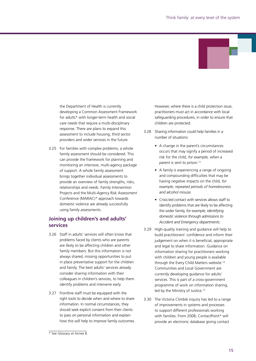

the Department of Health is currently developing a Common Assessment Framework for adults\* with longer-term health and social care needs that require a multi-disciplinary response. There are plans to expand this assessment to include housing, third sector providers and wider services in the future.

3.25 For families with complex problems, a whole family assessment should be considered. This can provide the framework for planning and monitoring an intensive, multi-agency package of support. A whole family assessment brings together individual assessments to provide an overview of family strengths, risks, relationships and needs. Family Intervention Projects and the Multi-Agency Risk Assessment Conference (MARAC)\* approach towards domestic violence are already successfully using family assessments.

### **Joining up children's and adults' services**

- 3.26 Staff in adults' services will often know that problems faced by clients who are parents are likely to be affecting children and other family members. But this information is not always shared, missing opportunities to put in place preventative support for the children and family. The best adults' services already consider sharing information with their colleagues in children's services, to help them identify problems and intervene early.
- 3.27 Frontline staff must be equipped with the right tools to decide when and where to share information. In normal circumstances, they should seek explicit consent from their clients to pass on personal information and explain how this will help to improve family outcomes.

However, where there is a child protection issue, practitioners must act in accordance with local safeguarding procedures, in order to ensure that children are protected.

- 3.28 Sharing information could help families in a number of situations:
	- A change in the parent's circumstances occurs that may signify a period of increased risk for the child, *for example, when a parent is sent to prison*. 13
	- A family is experiencing a range of ongoing and compounding difficulties that may be having negative impacts on the child, *for example, repeated periods of homelessness and alcohol misuse*.
	- • Crisis-led contact with services allows staff to identify problems that are likely to be affecting the wider family, *for example, identifying domestic violence through admissions to Accident and Emergency departments*.
- 3.29 High-quality training and guidance will help to build practitioners' confidence and inform their judgement on when it is beneficial, appropriate and legal to share information. Guidance on information sharing for practitioners working with children and young people is available through the Every Child Matters website.<sup>14</sup> Communities and Local Government are currently developing guidance for adults' services. This is part of a cross-government programme of work on information sharing, led by the Ministry of Justice.<sup>15</sup>
- 3.30 The Victoria Climbié inquiry has led to a range of improvements in systems and processes to support different professionals working with families. From 2008, ContactPoint\* will provide an electronic database giving contact

<sup>\*</sup> See Glossary at Annex B.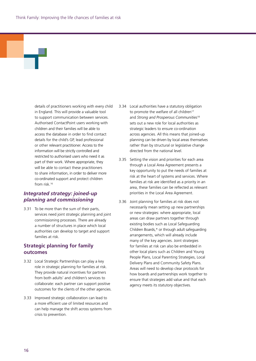details of practitioners working with every child in England. This will provide a valuable tool to support communication between services. Authorised ContactPoint users working with children and their families will be able to access the database in order to find contact details for the child's GP, lead professional or other relevant practitioner. Access to the information will be strictly controlled and restricted to authorised users who need it as part of their work. Where appropriate, they will be able to contact these practitioners to share information, in order to deliver more co-ordinated support and protect children from risk.16

### *Integrated strategy: joined-up planning and commissioning*

3.31 To be more than the sum of their parts, services need joint strategic planning and joint commissioning processes. There are already a number of structures in place which local authorities can develop to target and support families at risk.

### **Strategic planning for family outcomes**

- 3.32 Local Strategic Partnerships can play a key role in strategic planning for families at risk. They provide natural incentives for partners from both adults' and children's services to collaborate: each partner can support positive outcomes for the clients of the other agencies.
- 3.33 Improved strategic collaboration can lead to a more efficient use of limited resources and can help manage the shift across systems from crisis to prevention.
- 3.34 Local authorities have a statutory obligation to promote the welfare of all children<sup>17</sup> and *Strong and Prosperous Communities*<sup>18</sup> sets out a new role for local authorities as strategic leaders to ensure co-ordination across agencies. All this means that joined-up planning can be driven by local areas themselves rather than by structural or legislative change directed from the national level.
- 3.35 Setting the vision and priorities for each area through a Local Area Agreement presents a key opportunity to put the needs of families at risk at the heart of systems and services. Where families at risk are identified as a priority in an area, these families can be reflected as relevant priorities in the Local Area Agreement.
- 3.36 Joint planning for families at risk does not necessarily mean setting up new partnerships or new strategies: where appropriate, local areas can draw partners together through existing bodies such as Local Safeguarding Children Boards,\* or through adult safeguarding arrangements, which will already include many of the key agencies. Joint strategies for families at risk can also be embedded in other local plans such as Children and Young People Plans, Local Parenting Strategies, Local Delivery Plans and Community Safety Plans. Areas will need to develop clear protocols for how boards and partnerships work together to ensure that strategies add value and that each agency meets its statutory objectives.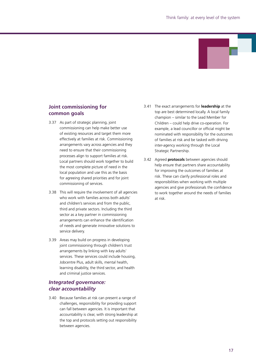

## **Joint commissioning for common goals**

- 3.37 As part of strategic planning, joint commissioning can help make better use of existing resources and target them more effectively at families at risk. Commissioning arrangements vary across agencies and they need to ensure that their commissioning processes align to support families at risk. Local partners should work together to build the most complete picture of need in the local population and use this as the basis for agreeing shared priorities and for joint commissioning of services.
- 3.38 This will require the involvement of all agencies who work with families across both adults' and children's services and from the public, third and private sectors. Including the third sector as a key partner in commissioning arrangements can enhance the identification of needs and generate innovative solutions to service delivery.
- 3.39 Areas may build on progress in developing joint commissioning through children's trust arrangements by linking with key adults' services. These services could include housing, Jobcentre Plus, adult skills, mental health, learning disability, the third sector, and health and criminal justice services.

### *Integrated governance: clear accountability*

3.40 Because families at risk can present a range of challenges, responsibility for providing support can fall between agencies. It is important that accountability is clear, with strong leadership at the top and protocols setting out responsibility between agencies.

- 3.41 The exact arrangements for **leadership** at the top are best determined locally. A local family champion – similar to the Lead Member for Children – could help drive co-operation. For example, a lead councillor or official might be nominated with responsibility for the outcomes of families at risk and be tasked with driving inter-agency working through the Local Strategic Partnership.
- 3.42 Agreed **protocols** between agencies should help ensure that partners share accountability for improving the outcomes of families at risk. These can clarify professional roles and responsibilities when working with multiple agencies and give professionals the confidence to work together around the needs of families at risk.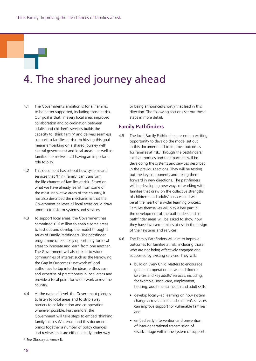# 4. The shared journey ahead

- 4.1 The Government's ambition is for all families to be better supported, including those at risk. Our goal is that, in every local area, improved collaboration and co-ordination between adults' and children's services builds the capacity to 'think family' and delivers seamless support to families at risk. Achieving this goal means embarking on a shared journey with central government and local areas – as well as families themselves – all having an important role to play.
- 4.2 This document has set out how systems and services that 'think family' can transform the life chances of families at risk. Based on what we have already learnt from some of the most innovative areas of the country, it has also described the mechanisms that the Government believes all local areas could draw upon to transform systems and services.
- 4.3 To support local areas, the Government has committed £16 million to enable some areas to test out and develop the model through a series of Family Pathfinders. The pathfinder programme offers a key opportunity for local areas to innovate and learn from one another. The Government will also link in to wider communities of interest such as the Narrowing the Gap in Outcomes\* network of local authorities to tap into the ideas, enthusiasm and expertise of practitioners in local areas and provide a focal point for wider work across the country.
- 4.4 At the national level, the Government pledges to listen to local areas and to strip away barriers to collaboration and co-operation wherever possible. Furthermore, the Government will take steps to embed 'thinking family' across Whitehall, and this document brings together a number of policy changes and reviews that are either already under way

or being announced shortly that lead in this direction. The following sections set out these steps in more detail.

#### **Family Pathfinders**

- 4.5 The local Family Pathfinders present an exciting opportunity to develop the model set out in this document and to improve outcomes for families at risk. Through the pathfinders, local authorities and their partners will be developing the systems and services described in the previous sections. They will be testing out the key components and taking them forward in new directions. The pathfinders will be developing new ways of working with families that draw on the collective strengths of children's and adults' services and will be at the heart of a wider learning process. Families themselves will play a key part in the development of the pathfinders and all pathfinder areas will be asked to show how they have involved families at risk in the design of their systems and services.
- 4.6 The Family Pathfinders will aim to improve outcomes for families at risk, including those who are not being effectively engaged and supported by existing services. They will:
	- build on Every Child Matters to encourage greater co-operation between children's services and key adults' services, including, for example, social care, employment, housing, adult mental health and adult skills;
	- develop locally-led learning on how system change across adults' and children's services can improve support for vulnerable families; and
	- embed early intervention and prevention of inter-generational transmission of disadvantage within the system of support.

<sup>\*</sup> See Glossary at Annex B.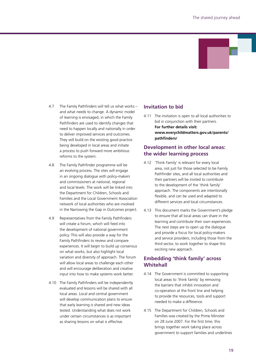

- 4.7 The Family Pathfinders will tell us what works and what needs to change. A dynamic model of learning is envisaged, in which the Family Pathfinders are used to identify changes that need to happen locally and nationally in order to deliver improved services and outcomes. They will build on the existing good practice being developed in local areas and initiate a process to push forward more ambitious reforms to the system.
- 4.8 The Family Pathfinder programme will be an evolving process. The sites will engage in an ongoing dialogue with policy-makers and commissioners at national, regional and local levels. The work will be linked into the Department for Children, Schools and Families and the Local Government Association network of local authorities who are involved in the Narrowing the Gap in Outcomes project.
- 4.9 Representatives from the Family Pathfinders will create a forum, which will feed into the development of national government policy. This will also provide a way for the Family Pathfinders to review and compare experiences. It will begin to build up consensus on what works, but also highlight local variation and diversity of approach. The forum will allow local areas to challenge each other and will encourage deliberation and creative input into how to make systems work better.
- 4.10 The Family Pathfinders will be independently evaluated and lessons will be shared with all local areas. Local and central government will develop communication plans to ensure that early learning is shared and new ideas tested. Understanding what does not work under certain circumstances is as important as sharing lessons on what is effective.

### **Invitation to bid**

4.11 The invitation is open to all local authorities to bid in conjunction with their partners.

**For further details visit: www.everychildmatters.gov.uk/parents/ pathfinders/**

### **Development in other local areas: the wider learning process**

- 4.12 'Think Family' is relevant for every local area, not just for those selected to be Family Pathfinder sites, and all local authorities and their partners will be invited to contribute to the development of the 'think family' approach. The components are intentionally flexible, and can be used and adapted to different services and local circumstances.
- 4.13 This document marks the Government's pledge to ensure that all local areas can share in the learning and contribute their own experiences. The next steps are to open up the dialogue and provide a focus for local policy-makers and service providers, including those from the third sector, to work together to shape this exciting new approach.

### **Embedding 'think family' across Whitehall**

- 4.14 The Government is committed to supporting local areas to 'think family' by removing the barriers that inhibit innovation and co-operation at the front line and helping to provide the resources, tools and support needed to make a difference.
- 4.15 The Department for Children, Schools and Families was created by the Prime Minister on 28 June 2007. For the first time, this brings together work taking place across government to support families and underlines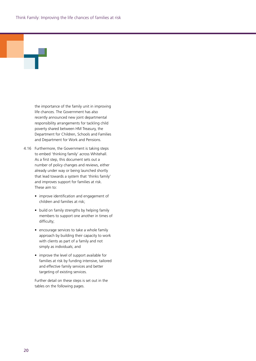#### the importance of the family unit in improving life chances. The Government has also recently announced new joint departmental responsibility arrangements for tackling child poverty shared between HM Treasury, the Department for Children, Schools and Families and Department for Work and Pensions.

- 4.16 Furthermore, the Government is taking steps to embed 'thinking family' across Whitehall. As a first step, this document sets out a number of policy changes and reviews, either already under way or being launched shortly that lead towards a system that 'thinks family' and improves support for families at risk. These aim to:
	- improve identification and engagement of children and families at risk;
	- build on family strengths by helping family members to support one another in times of difficulty;
	- encourage services to take a whole family approach by building their capacity to work with clients as part of a family and not simply as individuals; and
	- improve the level of support available for families at risk by funding intensive, tailored and effective family services and better targeting of existing services.

 Further detail on these steps is set out in the tables on the following pages.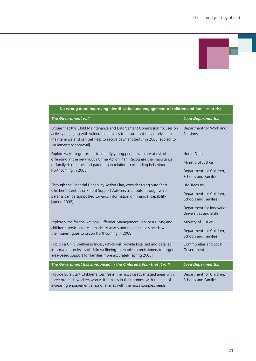

| אכה או סווק עסטה ווואוס זווין ועכותותנומנוסוו עווע כווקטקכוווכות טרכווווערכוו עווע ועוווווכז על וואג                                                                                                                                                          |                                                                                                                                        |  |
|---------------------------------------------------------------------------------------------------------------------------------------------------------------------------------------------------------------------------------------------------------------|----------------------------------------------------------------------------------------------------------------------------------------|--|
| <b>The Government will:</b>                                                                                                                                                                                                                                   | <b>Lead Department(s)</b>                                                                                                              |  |
| Ensure that the Child Maintenance and Enforcement Commission focuses on<br>actively engaging with vulnerable families to ensure that they receive child<br>maintenance and can get help to secure payment [autumn 2008, subject to<br>Parliamentary approval] | Department for Work and<br>Pensions                                                                                                    |  |
| Explore ways to go further to identify young people who are at risk of<br>offending in the new Youth Crime Action Plan. Recognise the importance<br>of family risk factors and parenting in relation to offending behaviour<br>[forthcoming in 2008]          | Home Office<br>Ministry of Justice<br>Department for Children,<br>Schools and Families                                                 |  |
| Through the Financial Capability Action Plan, consider using Sure Start<br>Children's Centres or Parent Support Advisers as a route through which<br>parents can be signposted towards information on financial capability<br>[spring 2008]                   | <b>HM Treasury</b><br>Department for Children,<br><b>Schools and Families</b><br>Department for Innovation,<br>Universities and Skills |  |
| Explore ways for the National Offender Management Service (NOMS) and<br>children's services to systematically assess and meet a child's needs when<br>their parent goes to prison [forthcoming in 2008]                                                       | Ministry of Justice<br>Department for Children,<br>Schools and Families                                                                |  |
| Publish a Child Wellbeing Index, which will provide localised and detailed<br>information on levels of child wellbeing to enable commissioners to target<br>area-based support for families more accurately [spring 2008]                                     | Communities and Local<br>Government                                                                                                    |  |
| The Government has announced in the Children's Plan that it will:                                                                                                                                                                                             | <b>Lead Department(s)</b>                                                                                                              |  |
| Provide Sure Start Children's Centres in the most disadvantaged areas with<br>three outreach workers who visit families in their homes, with the aim of<br>increasing engagement among families with the most complex needs                                   | Department for Children,<br><b>Schools and Families</b>                                                                                |  |

### **No wrong door: improving identification and engagement of children and families at risk**

ſ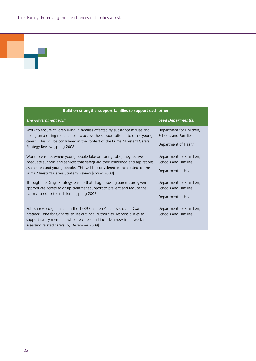| Build on strengths: support families to support each other                                                                                                                                                                                                                                    |                                                                          |
|-----------------------------------------------------------------------------------------------------------------------------------------------------------------------------------------------------------------------------------------------------------------------------------------------|--------------------------------------------------------------------------|
| The Government will:                                                                                                                                                                                                                                                                          | <b>Lead Department(s)</b>                                                |
| Work to ensure children living in families affected by substance misuse and<br>taking on a caring role are able to access the support offered to other young<br>carers. This will be considered in the context of the Prime Minister's Carers<br>Strategy Review [spring 2008]                | Department for Children,<br>Schools and Families<br>Department of Health |
| Work to ensure, where young people take on caring roles, they receive<br>adequate support and services that safeguard their childhood and aspirations<br>as children and young people. This will be considered in the context of the<br>Prime Minister's Carers Strategy Review [spring 2008] | Department for Children,<br>Schools and Families<br>Department of Health |
| Through the Drugs Strategy, ensure that drug misusing parents are given<br>appropriate access to drugs treatment support to prevent and reduce the<br>harm caused to their children [spring 2008]                                                                                             | Department for Children,<br>Schools and Families<br>Department of Health |
| Publish revised guidance on the 1989 Children Act, as set out in Care<br>Matters: Time for Change, to set out local authorities' responsibilities to<br>support family members who are carers and include a new framework for<br>assessing related carers [by December 2009]                  | Department for Children,<br>Schools and Families                         |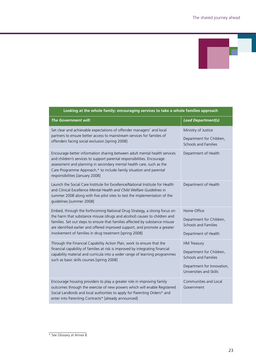| Looking at the whole family: encouraging services to take a whole families approach                                                                                                                                                                                                                                                                                            |                                                                                                                                        |  |
|--------------------------------------------------------------------------------------------------------------------------------------------------------------------------------------------------------------------------------------------------------------------------------------------------------------------------------------------------------------------------------|----------------------------------------------------------------------------------------------------------------------------------------|--|
| <b>The Government will:</b>                                                                                                                                                                                                                                                                                                                                                    | <b>Lead Department(s)</b>                                                                                                              |  |
| Set clear and achievable expectations of offender managers <sup>*</sup> and local<br>partners to ensure better access to mainstream services for families of<br>offenders facing social exclusion [spring 2008]                                                                                                                                                                | Ministry of Justice<br>Department for Children,<br><b>Schools and Families</b>                                                         |  |
| Encourage better information sharing between adult mental health services<br>and children's services to support parental responsibilities. Encourage<br>assessment and planning in secondary mental health care, such as the<br>Care Programme Approach,* to include family situation and parental<br>responsibilities [January 2008]                                          | Department of Health                                                                                                                   |  |
| Launch the Social Care Institute for Excellence/National Institute for Health<br>and Clinical Excellence Mental Health and Child Welfare Guidelines in<br>summer 2008 along with five pilot sites to test the implementation of the<br>guidelines [summer 2008]                                                                                                                | Department of Health                                                                                                                   |  |
| Embed, through the forthcoming National Drug Strategy, a strong focus on<br>the harm that substance misuse (drugs and alcohol) causes to children and<br>families. Set out steps to ensure that families affected by substance misuse<br>are identified earlier and offered improved support, and promote a greater<br>involvement of families in drug treatment [spring 2008] | Home Office<br>Department for Children,<br>Schools and Families<br>Department of Health                                                |  |
| Through the Financial Capability Action Plan, work to ensure that the<br>financial capability of families at risk is improved by integrating financial<br>capability material and curricula into a wider range of learning programmes<br>such as basic skills courses [spring 2008]                                                                                            | <b>HM Treasury</b><br>Department for Children,<br><b>Schools and Families</b><br>Department for Innovation,<br>Universities and Skills |  |
| Encourage housing providers to play a greater role in improving family<br>outcomes through the exercise of new powers which will enable Registered<br>Social Landlords and local authorities to apply for Parenting Orders* and<br>enter into Parenting Contracts* [already announced]                                                                                         | Communities and Local<br>Government                                                                                                    |  |

\* See Glossary at Annex B.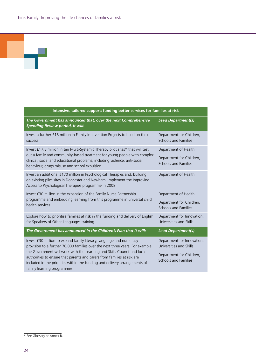ч

| Intensive, tailored support: funding better services for families at risk                                                                                                                                                                                                                                                                                                                                               |                                                                                                           |  |
|-------------------------------------------------------------------------------------------------------------------------------------------------------------------------------------------------------------------------------------------------------------------------------------------------------------------------------------------------------------------------------------------------------------------------|-----------------------------------------------------------------------------------------------------------|--|
| The Government has announced that, over the next Comprehensive<br><b>Spending Review period, it will:</b>                                                                                                                                                                                                                                                                                                               | <b>Lead Department(s)</b>                                                                                 |  |
| Invest a further £18 million in Family Intervention Projects to build on their<br><b>SUCCESS</b>                                                                                                                                                                                                                                                                                                                        | Department for Children,<br>Schools and Families                                                          |  |
| Invest £17.5 million in ten Multi-Systemic Therapy pilot sites* that will test<br>out a family and community-based treatment for young people with complex<br>clinical, social and educational problems, including violence, anti-social<br>behaviour, drugs misuse and school expulsion                                                                                                                                | Department of Health<br>Department for Children,<br>Schools and Families                                  |  |
| Invest an additional £170 million in Psychological Therapies and, building<br>on existing pilot sites in Doncaster and Newham, implement the Improving<br>Access to Psychological Therapies programme in 2008                                                                                                                                                                                                           | Department of Health                                                                                      |  |
| Invest £30 million in the expansion of the Family Nurse Partnership<br>programme and embedding learning from this programme in universal child<br>health services                                                                                                                                                                                                                                                       | Department of Health<br>Department for Children,<br>Schools and Families                                  |  |
| Explore how to prioritise families at risk in the funding and delivery of English<br>for Speakers of Other Languages training                                                                                                                                                                                                                                                                                           | Department for Innovation,<br>Universities and Skills                                                     |  |
| The Government has announced in the Children's Plan that it will:                                                                                                                                                                                                                                                                                                                                                       | <b>Lead Department(s)</b>                                                                                 |  |
| Invest £30 million to expand family literacy, language and numeracy<br>provision to a further 70,000 families over the next three years. For example,<br>the Government will work with the Learning and Skills Council and local<br>authorities to ensure that parents and carers from families at risk are<br>included in the priorities within the funding and delivery arrangements of<br>family learning programmes | Department for Innovation,<br>Universities and Skills<br>Department for Children,<br>Schools and Families |  |

<sup>\*</sup> See Glossary at Annex B.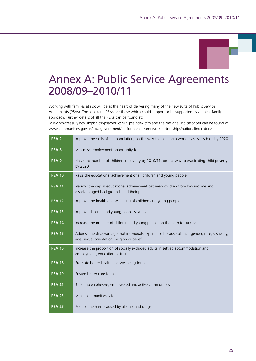# Annex A: Public Service Agreements 2008/09–2010/11

Working with families at risk will be at the heart of delivering many of the new suite of Public Service Agreements (PSAs). The following PSAs are those which could support or be supported by a 'think family' approach. Further details of all the PSAs can be found at:

www.hm-treasury.gov.uk/pbr\_csr/psa/pbr\_csr07\_psaindex.cfm and the National Indicator Set can be found at: www.communities.gov.uk/localgovernment/performanceframeworkpartnerships/nationalindicators/

| PSA <sub>2</sub> | Improve the skills of the population, on the way to ensuring a world-class skills base by 2020                                                 |
|------------------|------------------------------------------------------------------------------------------------------------------------------------------------|
| PSA <sub>8</sub> | Maximise employment opportunity for all                                                                                                        |
| PSA <sub>9</sub> | Halve the number of children in poverty by 2010/11, on the way to eradicating child poverty<br>by 2020                                         |
| <b>PSA 10</b>    | Raise the educational achievement of all children and young people                                                                             |
| <b>PSA 11</b>    | Narrow the gap in educational achievement between children from low income and<br>disadvantaged backgrounds and their peers                    |
| <b>PSA 12</b>    | Improve the health and wellbeing of children and young people                                                                                  |
| <b>PSA 13</b>    | Improve children and young people's safety                                                                                                     |
| <b>PSA 14</b>    | Increase the number of children and young people on the path to success                                                                        |
| <b>PSA 15</b>    | Address the disadvantage that individuals experience because of their gender, race, disability,<br>age, sexual orientation, religion or belief |
| <b>PSA 16</b>    | Increase the proportion of socially excluded adults in settled accommodation and<br>employment, education or training                          |
| <b>PSA 18</b>    | Promote better health and wellbeing for all                                                                                                    |
| <b>PSA 19</b>    | Ensure better care for all                                                                                                                     |
| <b>PSA 21</b>    | Build more cohesive, empowered and active communities                                                                                          |
| <b>PSA 23</b>    | Make communities safer                                                                                                                         |
| <b>PSA 25</b>    | Reduce the harm caused by alcohol and drugs                                                                                                    |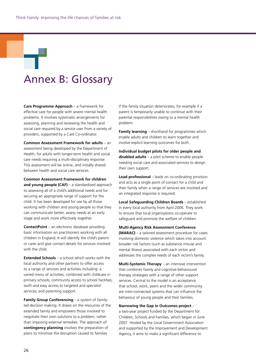# Annex B: Glossary

**Care Programme Approach** – a framework for effective care for people with severe mental health problems. It involves systematic arrangements for assessing, planning and reviewing the health and social care required by a service user from a variety of providers, supported by a Care Co-ordinator.

**Common Assessment Framework for adults** – an assessment being developed by the Department of Health, for adults with longer-term health and social care needs requiring a multi-disciplinary response. This assessment will be online, and initially shared between health and social care services.

**Common Assessment Framework for children and young people (CAF)** – a standardised approach to assessing all of a child's additional needs and for securing an appropriate range of support for the child. It has been developed for use by all those working with children and young people so that they can communicate better, assess needs at an early stage and work more effectively together.

**ContactPoint** – an electronic database providing basic information on practitioners working with all children in England. It will identify the child's parent or carer and give contact details for services involved with the child.

**Extended Schools** – a school which works with the local authority and other partners to offer access to a range of services and activities including: a varied menu of activities, combined with childcare in primary schools; community access to school facilities; swift and easy access to targeted and specialist services; and parenting support.

**Family Group Conferencing** – a system of familyled decision making. It draws on the resources of the extended family and empowers those involved to negotiate their own solutions to a problem, rather than imposing external remedies. The approach of **contingency planning** involves the preparation of plans to minimise the disruption caused to families

if the family situation deteriorates, for example if a parent is temporarily unable to continue with their parental responsibilities owing to a mental health problem.

**Family learning** – shorthand for programmes which enable adults and children to learn together and involve explicit learning outcomes for both.

**Individual budget pilots for older people and disabled adults** – a pilot scheme to enable people needing social care and associated services to design their own support.

**Lead professional** – leads on co-ordinating provision and acts as a single point of contact for a child and their family when a range of services are involved and an integrated response is required.

**Local Safeguarding Children Boards** – established in every local authority from April 2006. They work to ensure that local organisations co-operate to safeguard and promote the welfare of children.

**Multi-Agency Risk Assessment Conference (MARAC)** – a tailored assessment procedure for cases involving domestic violence which takes into account broader risk factors (such as substance misuse and mental illness) associated with each victim and addresses the complex needs of each victim's family.

**Multi-Systemic Therapy** – an intensive intervention that combines family and cognitive-behavioural therapy strategies with a range of other support services. Central to the model is an acceptance that school, work, peers and the wider community are inter-connected systems that can influence the behaviour of young people and their families.

**Narrowing the Gap in Outcomes project** –

a two-year project funded by the Department for Children, Schools and Families, which began in June 2007. Hosted by the Local Government Association and supported by the Improvement and Development Agency, it aims to make a significant difference to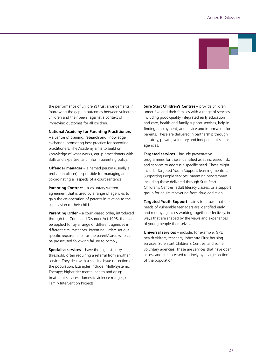

the performance of children's trust arrangements in 'narrowing the gap' in outcomes between vulnerable children and their peers, against a context of improving outcomes for all children.

#### **National Academy for Parenting Practitioners**

– a centre of training, research and knowledge exchange, promoting best practice for parenting practitioners. The Academy aims to build on knowledge of what works, equip practitioners with skills and expertise, and inform parenting policy.

**Offender manager** – a named person (usually a probation officer) responsible for managing and co-ordinating all aspects of a court sentence.

**Parenting Contract** – a voluntary written agreement that is used by a range of agencies to gain the co-operation of parents in relation to the supervision of their child.

**Parenting Order** – a court-based order, introduced through the Crime and Disorder Act 1998, that can be applied for by a range of different agencies in different circumstances. Parenting Orders set out specific requirements for the parent/carer, who can be prosecuted following failure to comply.

**Specialist services** – have the highest entry threshold, often requiring a referral from another service. They deal with a specific issue or section of the population. Examples include: Multi-Systemic Therapy; higher tier mental health and drugs treatment services; domestic violence refuges; or Family Intervention Projects.

**Sure Start Children's Centres** – provide children under five and their families with a range of services including good-quality integrated early education and care, health and family support services, help in finding employment, and advice and information for parents. These are delivered in partnership through statutory, private, voluntary and independent sector agencies.

**Targeted services** – include preventative programmes for those identified as at increased risk, and services to address a specific need. These might include: Targeted Youth Support; learning mentors; Supporting People services; parenting programmes, including those delivered through Sure Start Children's Centres; adult literacy classes; or a support group for adults recovering from drug addiction.

**Targeted Youth Support** – aims to ensure that the needs of vulnerable teenagers are identified early and met by agencies working together effectively, in ways that are shaped by the views and experiences of young people themselves.

**Universal services** – include, for example: GPs; health visitors; teachers; Jobcentre Plus; housing services; Sure Start Children's Centres; and some voluntary agencies. These are services that have open access and are accessed routinely by a large section of the population.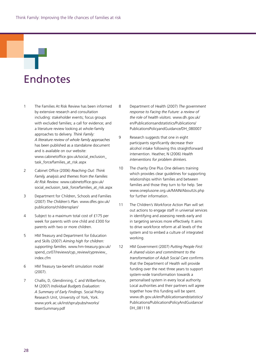# Endnotes

- 1 The Families At Risk Review has been informed by extensive research and consultation including: stakeholder events; focus groups with excluded families; a call for evidence; and a literature review looking at whole-family approaches to delivery. *Think Family: A literature review of whole family approaches* has been published as a standalone document and is available on our website: www.cabinetoffice.gov.uk/social\_exclusion\_ task\_force/families\_at\_risk.aspx
- 2 Cabinet Office (2006) *Reaching Out: Think Family, analysis and themes from the Families At Risk Review*. www.cabinetoffice.gov.uk/ social\_exclusion\_task\_force/families\_at\_risk.aspx
- 3 Department for Children, Schools and Families (2007) *The Children's Plan.* www.dfes.gov.uk/ publications/childrensplan/
- 4 Subject to a maximum total cost of £175 per week for parents with one child and £300 for parents with two or more children.
- 5 HM Treasury and Department for Education and Skills (2007) *Aiming high for children: supporting families.* www.hm-treasury.gov.uk/ spend\_csr07/reviews/cyp\_review/cypreview\_ index.cfm
- 6 HM Treasury tax-benefit simulation model (2007).
- 7 Challis, D, Glendinning, C and Wilberforce, M (2007) *Individual Budgets Evaluation: A Summary of Early Findings*. Social Policy Research Unit, University of York, York. www.york.ac.uk/inst/spru/pubs/rworks/ IbsenSummary.pdf
- 8 Department of Health (2007) *The government response to Facing the Future: a review of the role of health visitors.* www.dh.gov.uk/ en/Publicationsandstatistics/Publications/ PublicationsPolicyandGuidance/DH\_080007
- 9 Research suggests that one in eight participants significantly decrease their alcohol intake following this straightforward intervention. Heather, N (2006) *Health interventions for problem drinkers.*
- 10 The charity One Plus One delivers training which provides clear guidelines for supporting relationships within families and between families and those they turn to for help. See www.oneplusone.org.uk/MAIN/AboutUs.php for further information.
- 11 The Children's Workforce Action Plan will set out actions to engage staff in universal services in identifying and assessing needs early and in targeting services more effectively. It aims to drive workforce reform at all levels of the system and to embed a culture of integrated working.
- 12 HM Government (2007) *Putting People First: A shared vision and commitment to the transformation of Adult Social Care* confirms that the Department of Health will provide funding over the next three years to support system-wide transformation towards a personalised system in every local authority. Local authorities and their partners will agree together how this funding will be spent. www.dh.gov.uk/en/Publicationsandstatistics/ Publications/PublicationsPolicyAndGuidance/ DH\_081118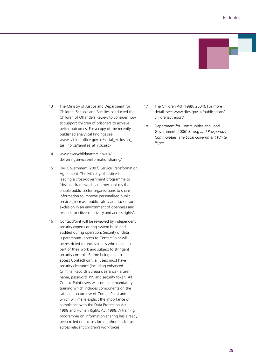

- 13 The Ministry of Justice and Department for Children, Schools and Families conducted the Children of Offenders Review to consider how to support children of prisoners to achieve better outcomes. For a copy of the recently published analytical findings see: www.cabinetoffice.gov.uk/social\_exclusion\_ task\_force/families\_at\_risk.aspx
- 14 www.everychildmatters.gov.uk/ deliveringservices/informationsharing/
- 15 HM Government (2007) Service Transformation Agreement. The Ministry of Justice is leading a cross-government programme to 'develop frameworks and mechanisms that enable public sector organisations to share information to improve personalised public services, increase public safety and tackle social exclusion in an environment of openness and respect for citizens' privacy and access rights'.
- 16 ContactPoint will be reviewed by independent security experts during system build and audited during operation. Security of data is paramount: access to ContactPoint will be restricted to professionals who need it as part of their work and subject to stringent security controls. Before being able to access ContactPoint, all users must have security clearance (including enhanced Criminal Records Bureau clearance), a user name, password, PIN and security token. All ContactPoint users will complete mandatory training which includes components on the safe and secure use of ContactPoint and which will make explicit the importance of compliance with the Data Protection Act 1998 and Human Rights Act 1998. A training programme on information sharing has already been rolled out across local authorities for use across relevant children's workforces.
- 17 The Children Act (1989, 2004). For more details see: www.dfes.gov.uk/publications/ childrenactreport/
- 18 Department for Communities and Local Government (2006) *Strong and Prosperous Communities: The Local Government White Paper.*